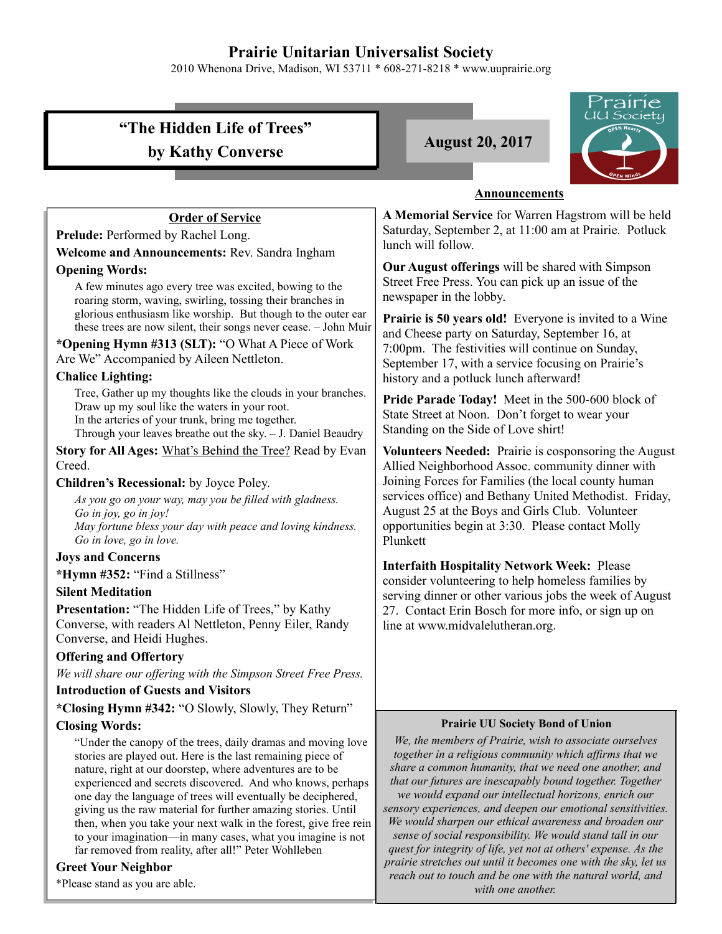# **Prairie Unitarian Universalist Society**

2010 Whenona Drive, Madison, WI 53711 \* 608-271-8218 \* www.uuprairie.org

|                                                                                                                                   | Frairie<br>UU Society                                                                                                  |  |  |
|-----------------------------------------------------------------------------------------------------------------------------------|------------------------------------------------------------------------------------------------------------------------|--|--|
| "The Hidden Life of Trees"                                                                                                        |                                                                                                                        |  |  |
| by Kathy Converse                                                                                                                 | <b>August 20, 2017</b>                                                                                                 |  |  |
|                                                                                                                                   |                                                                                                                        |  |  |
|                                                                                                                                   |                                                                                                                        |  |  |
|                                                                                                                                   | <b>Announcements</b>                                                                                                   |  |  |
| <b>Order of Service</b>                                                                                                           | A Memorial Service for Warren Hagstrom will be held                                                                    |  |  |
| Prelude: Performed by Rachel Long.                                                                                                | Saturday, September 2, at 11:00 am at Prairie. Potluck<br>lunch will follow.                                           |  |  |
| Welcome and Announcements: Rev. Sandra Ingham                                                                                     |                                                                                                                        |  |  |
| <b>Opening Words:</b>                                                                                                             | Our August offerings will be shared with Simpson                                                                       |  |  |
| A few minutes ago every tree was excited, bowing to the                                                                           | Street Free Press. You can pick up an issue of the                                                                     |  |  |
| roaring storm, waving, swirling, tossing their branches in<br>glorious enthusiasm like worship. But though to the outer ear       | newspaper in the lobby.                                                                                                |  |  |
| these trees are now silent, their songs never cease. - John Muir                                                                  | Prairie is 50 years old! Everyone is invited to a Wine                                                                 |  |  |
| *Opening Hymn #313 (SLT): "O What A Piece of Work                                                                                 | and Cheese party on Saturday, September 16, at<br>7:00pm. The festivities will continue on Sunday,                     |  |  |
| Are We" Accompanied by Aileen Nettleton.                                                                                          | September 17, with a service focusing on Prairie's                                                                     |  |  |
| <b>Chalice Lighting:</b>                                                                                                          | history and a potluck lunch afterward!                                                                                 |  |  |
| Tree, Gather up my thoughts like the clouds in your branches.                                                                     | Pride Parade Today! Meet in the 500-600 block of                                                                       |  |  |
| Draw up my soul like the waters in your root.<br>In the arteries of your trunk, bring me together.                                | State Street at Noon. Don't forget to wear your                                                                        |  |  |
| Through your leaves breathe out the sky. - J. Daniel Beaudry                                                                      | Standing on the Side of Love shirt!                                                                                    |  |  |
| Story for All Ages: What's Behind the Tree? Read by Evan                                                                          | Volunteers Needed: Prairie is cosponsoring the August                                                                  |  |  |
| Creed.                                                                                                                            | Allied Neighborhood Assoc. community dinner with                                                                       |  |  |
| Children's Recessional: by Joyce Poley.                                                                                           | Joining Forces for Families (the local county human                                                                    |  |  |
| As you go on your way, may you be filled with gladness.                                                                           | services office) and Bethany United Methodist. Friday,                                                                 |  |  |
| Go in joy, go in joy!                                                                                                             | August 25 at the Boys and Girls Club. Volunteer<br>opportunities begin at 3:30. Please contact Molly                   |  |  |
| May fortune bless your day with peace and loving kindness.<br>Go in love, go in love.                                             | Plunkett                                                                                                               |  |  |
| <b>Joys and Concerns</b>                                                                                                          |                                                                                                                        |  |  |
| *Hymn #352: "Find a Stillness"                                                                                                    | <b>Interfaith Hospitality Network Week: Please</b>                                                                     |  |  |
| <b>Silent Meditation</b>                                                                                                          | consider volunteering to help homeless families by                                                                     |  |  |
| Presentation: "The Hidden Life of Trees," by Kathy                                                                                | serving dinner or other various jobs the week of August<br>27. Contact Erin Bosch for more info, or sign up on         |  |  |
| Converse, with readers Al Nettleton, Penny Eiler, Randy                                                                           | line at www.midvalelutheran.org.                                                                                       |  |  |
| Converse, and Heidi Hughes.                                                                                                       |                                                                                                                        |  |  |
| <b>Offering and Offertory</b>                                                                                                     |                                                                                                                        |  |  |
| We will share our offering with the Simpson Street Free Press.                                                                    |                                                                                                                        |  |  |
| <b>Introduction of Guests and Visitors</b>                                                                                        |                                                                                                                        |  |  |
| *Closing Hymn #342: "O Slowly, Slowly, They Return"                                                                               |                                                                                                                        |  |  |
| <b>Closing Words:</b>                                                                                                             | <b>Prairie UU Society Bond of Union</b>                                                                                |  |  |
| "Under the canopy of the trees, daily dramas and moving love                                                                      | We, the members of Prairie, wish to associate ourselves<br>together in a religious community which affirms that we     |  |  |
| stories are played out. Here is the last remaining piece of<br>nature, right at our doorstep, where adventures are to be          | share a common humanity, that we need one another, and                                                                 |  |  |
| experienced and secrets discovered. And who knows, perhaps                                                                        | that our futures are inescapably bound together. Together                                                              |  |  |
| one day the language of trees will eventually be deciphered,                                                                      | we would expand our intellectual horizons, enrich our                                                                  |  |  |
| giving us the raw material for further amazing stories. Until<br>then, when you take your next walk in the forest, give free rein | sensory experiences, and deepen our emotional sensitivities.<br>We would sharpen our ethical awareness and broaden our |  |  |
| to your imagination-in many cases, what you imagine is not                                                                        | sense of social responsibility. We would stand tall in our                                                             |  |  |
| far removed from reality, after all!" Peter Wohlleben                                                                             | quest for integrity of life, yet not at others' expense. As the                                                        |  |  |
| <b>Greet Vour Neighbor</b>                                                                                                        | prairie stretches out until it becomes one with the sky, let us                                                        |  |  |

#### **Greet Your Neighbor**

\*Please stand as you are able.

*with one another.* 

*reach out to touch and be one with the natural world, and*